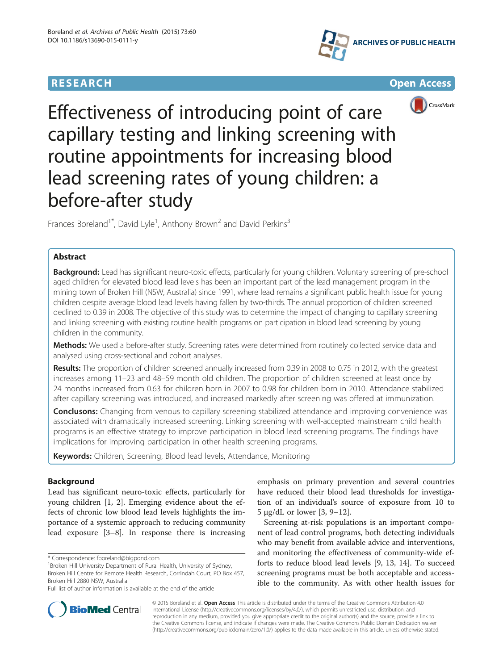





Effectiveness of introducing point of care capillary testing and linking screening with routine appointments for increasing blood lead screening rates of young children: a before-after study

Frances Boreland<sup>1\*</sup>, David Lyle<sup>1</sup>, Anthony Brown<sup>2</sup> and David Perkins<sup>3</sup>

# Abstract

Background: Lead has significant neuro-toxic effects, particularly for young children. Voluntary screening of pre-school aged children for elevated blood lead levels has been an important part of the lead management program in the mining town of Broken Hill (NSW, Australia) since 1991, where lead remains a significant public health issue for young children despite average blood lead levels having fallen by two-thirds. The annual proportion of children screened declined to 0.39 in 2008. The objective of this study was to determine the impact of changing to capillary screening and linking screening with existing routine health programs on participation in blood lead screening by young children in the community.

Methods: We used a before-after study. Screening rates were determined from routinely collected service data and analysed using cross-sectional and cohort analyses.

Results: The proportion of children screened annually increased from 0.39 in 2008 to 0.75 in 2012, with the greatest increases among 11–23 and 48–59 month old children. The proportion of children screened at least once by 24 months increased from 0.63 for children born in 2007 to 0.98 for children born in 2010. Attendance stabilized after capillary screening was introduced, and increased markedly after screening was offered at immunization.

**Conclusons:** Changing from venous to capillary screening stabilized attendance and improving convenience was associated with dramatically increased screening. Linking screening with well-accepted mainstream child health programs is an effective strategy to improve participation in blood lead screening programs. The findings have implications for improving participation in other health screening programs.

Keywords: Children, Screening, Blood lead levels, Attendance, Monitoring

# Background

Lead has significant neuro-toxic effects, particularly for young children [[1, 2\]](#page-6-0). Emerging evidence about the effects of chronic low blood lead levels highlights the importance of a systemic approach to reducing community lead exposure [\[3](#page-6-0)–[8](#page-6-0)]. In response there is increasing

\* Correspondence: [fboreland@bigpond.com](mailto:fboreland@bigpond.com) <sup>1</sup>

emphasis on primary prevention and several countries have reduced their blood lead thresholds for investigation of an individual's source of exposure from 10 to 5 μg/dL or lower [\[3](#page-6-0), [9](#page-6-0)–[12\]](#page-6-0).

Screening at-risk populations is an important component of lead control programs, both detecting individuals who may benefit from available advice and interventions, and monitoring the effectiveness of community-wide efforts to reduce blood lead levels [\[9](#page-6-0), [13, 14](#page-6-0)]. To succeed screening programs must be both acceptable and accessible to the community. As with other health issues for



© 2015 Boreland et al. Open Access This article is distributed under the terms of the Creative Commons Attribution 4.0 International License [\(http://creativecommons.org/licenses/by/4.0/](http://creativecommons.org/licenses/by/4.0/)), which permits unrestricted use, distribution, and reproduction in any medium, provided you give appropriate credit to the original author(s) and the source, provide a link to the Creative Commons license, and indicate if changes were made. The Creative Commons Public Domain Dedication waiver [\(http://creativecommons.org/publicdomain/zero/1.0/](http://creativecommons.org/publicdomain/zero/1.0/)) applies to the data made available in this article, unless otherwise stated.

<sup>&</sup>lt;sup>1</sup> Broken Hill University Department of Rural Health, University of Sydney, Broken Hill Centre for Remote Health Research, Corrindah Court, PO Box 457, Broken Hill 2880 NSW, Australia

Full list of author information is available at the end of the article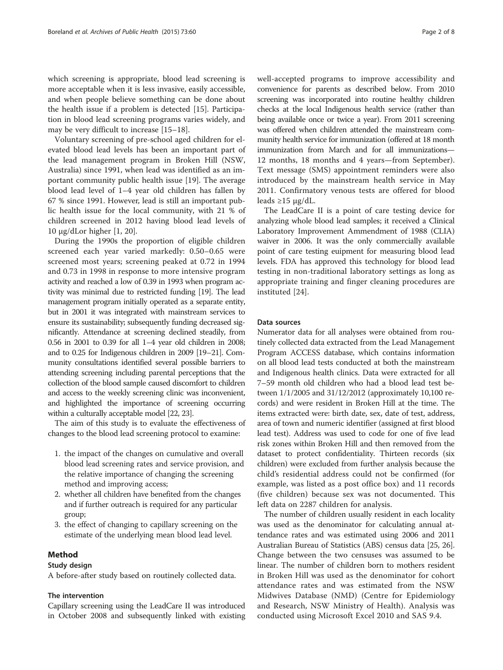which screening is appropriate, blood lead screening is more acceptable when it is less invasive, easily accessible, and when people believe something can be done about the health issue if a problem is detected [\[15](#page-6-0)]. Participation in blood lead screening programs varies widely, and may be very difficult to increase [\[15](#page-6-0)–[18\]](#page-6-0).

Voluntary screening of pre-school aged children for elevated blood lead levels has been an important part of the lead management program in Broken Hill (NSW, Australia) since 1991, when lead was identified as an important community public health issue [[19](#page-6-0)]. The average blood lead level of 1–4 year old children has fallen by 67 % since 1991. However, lead is still an important public health issue for the local community, with 21 % of children screened in 2012 having blood lead levels of 10 μg/dLor higher [[1, 20](#page-6-0)].

During the 1990s the proportion of eligible children screened each year varied markedly: 0.50–0.65 were screened most years; screening peaked at 0.72 in 1994 and 0.73 in 1998 in response to more intensive program activity and reached a low of 0.39 in 1993 when program activity was minimal due to restricted funding [\[19](#page-6-0)]. The lead management program initially operated as a separate entity, but in 2001 it was integrated with mainstream services to ensure its sustainability; subsequently funding decreased significantly. Attendance at screening declined steadily, from 0.56 in 2001 to 0.39 for all 1–4 year old children in 2008; and to 0.25 for Indigenous children in 2009 [\[19](#page-6-0)–[21\]](#page-6-0). Community consultations identified several possible barriers to attending screening including parental perceptions that the collection of the blood sample caused discomfort to children and access to the weekly screening clinic was inconvenient, and highlighted the importance of screening occurring within a culturally acceptable model [\[22, 23\]](#page-6-0).

The aim of this study is to evaluate the effectiveness of changes to the blood lead screening protocol to examine:

- 1. the impact of the changes on cumulative and overall blood lead screening rates and service provision, and the relative importance of changing the screening method and improving access;
- 2. whether all children have benefited from the changes and if further outreach is required for any particular group;
- 3. the effect of changing to capillary screening on the estimate of the underlying mean blood lead level.

# Method

## Study design

A before-after study based on routinely collected data.

### The intervention

Capillary screening using the LeadCare II was introduced in October 2008 and subsequently linked with existing well-accepted programs to improve accessibility and convenience for parents as described below. From 2010 screening was incorporated into routine healthy children checks at the local Indigenous health service (rather than being available once or twice a year). From 2011 screening was offered when children attended the mainstream community health service for immunization (offered at 18 month immunization from March and for all immunizations— 12 months, 18 months and 4 years—from September). Text message (SMS) appointment reminders were also introduced by the mainstream health service in May 2011. Confirmatory venous tests are offered for blood leads  $\geq$ 15 μg/dL.

The LeadCare II is a point of care testing device for analyzing whole blood lead samples; it received a Clinical Laboratory Improvement Ammendment of 1988 (CLIA) waiver in 2006. It was the only commercially available point of care testing euipment for measuring blood lead levels. FDA has approved this technology for blood lead testing in non-traditional laboratory settings as long as appropriate training and finger cleaning procedures are instituted [[24\]](#page-6-0).

# Data sources

Numerator data for all analyses were obtained from routinely collected data extracted from the Lead Management Program ACCESS database, which contains information on all blood lead tests conducted at both the mainstream and Indigenous health clinics. Data were extracted for all 7–59 month old children who had a blood lead test between 1/1/2005 and 31/12/2012 (approximately 10,100 records) and were resident in Broken Hill at the time. The items extracted were: birth date, sex, date of test, address, area of town and numeric identifier (assigned at first blood lead test). Address was used to code for one of five lead risk zones within Broken Hill and then removed from the dataset to protect confidentiality. Thirteen records (six children) were excluded from further analysis because the child's residential address could not be confirmed (for example, was listed as a post office box) and 11 records (five children) because sex was not documented. This left data on 2287 children for analysis.

The number of children usually resident in each locality was used as the denominator for calculating annual attendance rates and was estimated using 2006 and 2011 Australian Bureau of Statistics (ABS) census data [\[25, 26](#page-6-0)]. Change between the two censuses was assumed to be linear. The number of children born to mothers resident in Broken Hill was used as the denominator for cohort attendance rates and was estimated from the NSW Midwives Database (NMD) (Centre for Epidemiology and Research, NSW Ministry of Health). Analysis was conducted using Microsoft Excel 2010 and SAS 9.4.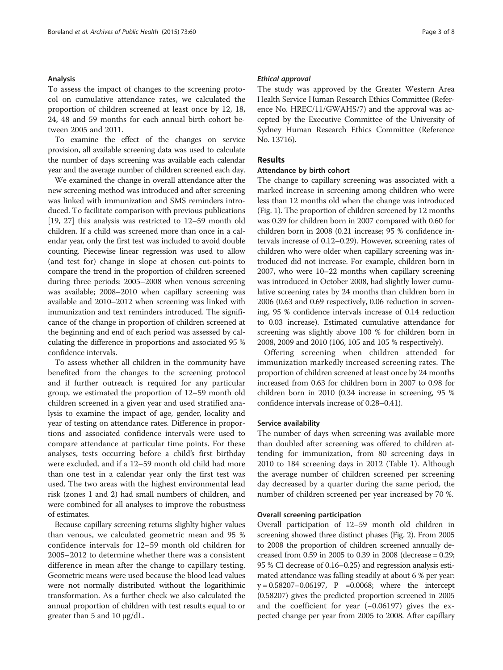#### Analysis

To assess the impact of changes to the screening protocol on cumulative attendance rates, we calculated the proportion of children screened at least once by 12, 18, 24, 48 and 59 months for each annual birth cohort between 2005 and 2011.

To examine the effect of the changes on service provision, all available screening data was used to calculate the number of days screening was available each calendar year and the average number of children screened each day.

We examined the change in overall attendance after the new screening method was introduced and after screening was linked with immunization and SMS reminders introduced. To facilitate comparison with previous publications [[19](#page-6-0), [27](#page-6-0)] this analysis was restricted to 12–59 month old children. If a child was screened more than once in a calendar year, only the first test was included to avoid double counting. Piecewise linear regression was used to allow (and test for) change in slope at chosen cut-points to compare the trend in the proportion of children screened during three periods: 2005–2008 when venous screening was available; 2008–2010 when capillary screening was available and 2010–2012 when screening was linked with immunization and text reminders introduced. The significance of the change in proportion of children screened at the beginning and end of each period was assessed by calculating the difference in proportions and associated 95 % confidence intervals.

To assess whether all children in the community have benefited from the changes to the screening protocol and if further outreach is required for any particular group, we estimated the proportion of 12–59 month old children screened in a given year and used stratified analysis to examine the impact of age, gender, locality and year of testing on attendance rates. Difference in proportions and associated confidence intervals were used to compare attendance at particular time points. For these analyses, tests occurring before a child's first birthday were excluded, and if a 12–59 month old child had more than one test in a calendar year only the first test was used. The two areas with the highest environmental lead risk (zones 1 and 2) had small numbers of children, and were combined for all analyses to improve the robustness of estimates.

Because capillary screening returns slighlty higher values than venous, we calculated geometric mean and 95 % confidence intervals for 12–59 month old children for 2005–2012 to determine whether there was a consistent difference in mean after the change to capillary testing. Geometric means were used because the blood lead values were not normally distributed without the logarithimic transformation. As a further check we also calculated the annual proportion of children with test results equal to or greater than 5 and 10 μg/dL.

#### Ethical approval

The study was approved by the Greater Western Area Health Service Human Research Ethics Committee (Reference No. HREC/11/GWAHS/7) and the approval was accepted by the Executive Committee of the University of Sydney Human Research Ethics Committee (Reference No. 13716).

## Results

# Attendance by birth cohort

The change to capillary screening was associated with a marked increase in screening among children who were less than 12 months old when the change was introduced (Fig. [1](#page-3-0)). The proportion of children screened by 12 months was 0.39 for children born in 2007 compared with 0.60 for children born in 2008 (0.21 increase; 95 % confidence intervals increase of 0.12–0.29). However, screening rates of children who were older when capillary screening was introduced did not increase. For example, children born in 2007, who were 10–22 months when capillary screening was introduced in October 2008, had slightly lower cumulative screening rates by 24 months than children born in 2006 (0.63 and 0.69 respectively, 0.06 reduction in screening, 95 % confidence intervals increase of 0.14 reduction to 0.03 increase). Estimated cumulative attendance for screening was slightly above 100 % for children born in 2008, 2009 and 2010 (106, 105 and 105 % respectively).

Offering screening when children attended for immunization markedly increased screening rates. The proportion of children screened at least once by 24 months increased from 0.63 for children born in 2007 to 0.98 for children born in 2010 (0.34 increase in screening, 95 % confidence intervals increase of 0.28–0.41).

### Service availability

The number of days when screening was available more than doubled after screening was offered to children attending for immunization, from 80 screening days in 2010 to 184 screening days in 2012 (Table [1](#page-3-0)). Although the average number of children screened per screening day decreased by a quarter during the same period, the number of children screened per year increased by 70 %.

#### Overall screening participation

Overall participation of 12–59 month old children in screening showed three distinct phases (Fig. [2\)](#page-4-0). From 2005 to 2008 the proportion of children screened annually decreased from 0.59 in 2005 to 0.39 in 2008 (decrease = 0.29; 95 % CI decrease of 0.16–0.25) and regression analysis estimated attendance was falling steadily at about 6 % per year:  $y = 0.58207 - 0.06197$ , P = 0.0068; where the intercept (0.58207) gives the predicted proportion screened in 2005 and the coefficient for year (−0.06197) gives the expected change per year from 2005 to 2008. After capillary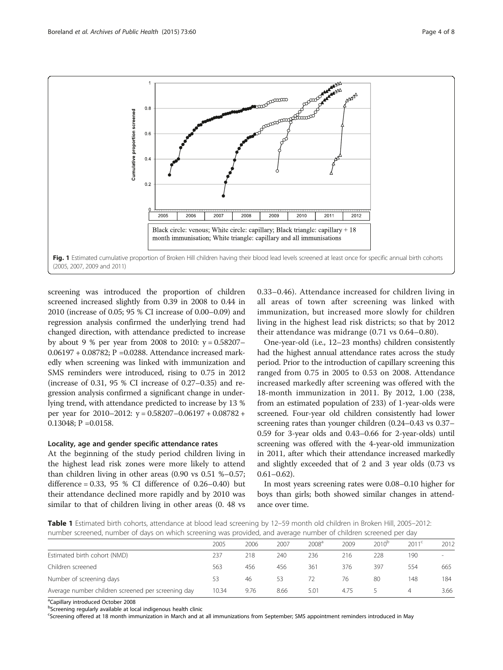<span id="page-3-0"></span>

screening was introduced the proportion of children screened increased slightly from 0.39 in 2008 to 0.44 in 2010 (increase of 0.05; 95 % CI increase of 0.00–0.09) and regression analysis confirmed the underlying trend had changed direction, with attendance predicted to increase by about 9 % per year from 2008 to 2010:  $y = 0.58207 -$ 0.06197 + 0.08782; P =0.0288. Attendance increased markedly when screening was linked with immunization and SMS reminders were introduced, rising to 0.75 in 2012 (increase of 0.31, 95 % CI increase of 0.27–0.35) and regression analysis confirmed a significant change in underlying trend, with attendance predicted to increase by 13 % per year for 2010–2012: y = 0.58207–0.06197 + 0.08782 +  $0.13048; P = 0.0158.$ 

#### Locality, age and gender specific attendance rates

At the beginning of the study period children living in the highest lead risk zones were more likely to attend than children living in other areas (0.90 vs 0.51 %–0.57; difference =  $0.33$ ,  $95$  % CI difference of  $0.26-0.40$ ) but their attendance declined more rapidly and by 2010 was similar to that of children living in other areas (0. 48 vs 0.33–0.46). Attendance increased for children living in all areas of town after screening was linked with immunization, but increased more slowly for children living in the highest lead risk districts; so that by 2012 their attendance was midrange (0.71 vs 0.64–0.80).

One-year-old (i.e., 12–23 months) children consistently had the highest annual attendance rates across the study period. Prior to the introduction of capillary screening this ranged from 0.75 in 2005 to 0.53 on 2008. Attendance increased markedly after screening was offered with the 18-month immunization in 2011. By 2012, 1.00 (238, from an estimated population of 233) of 1-year-olds were screened. Four-year old children consistently had lower screening rates than younger children (0.24–0.43 vs 0.37– 0.59 for 3-year olds and 0.43–0.66 for 2-year-olds) until screening was offered with the 4-year-old immunization in 2011, after which their attendance increased markedly and slightly exceeded that of 2 and 3 year olds (0.73 vs 0.61–0.62).

In most years screening rates were 0.08–0.10 higher for boys than girls; both showed similar changes in attendance over time.

Table 1 Estimated birth cohorts, attendance at blood lead screening by 12–59 month old children in Broken Hill, 2005–2012: number screened, number of days on which screening was provided, and average number of children screened per day

|                                                    | 2005  | 2006 | 2007 | 2008 <sup>a</sup> | 2009 | 2010 <sup>b</sup> | 2011 <sup>c</sup> | 2012   |
|----------------------------------------------------|-------|------|------|-------------------|------|-------------------|-------------------|--------|
| Estimated birth cohort (NMD)                       | 237   | 218  | 240  | 236               | 216  | 228               | 190               | $\sim$ |
| Children screened                                  | 563   | 456  | 456  | 361               | 376  | 397               | 554               | 665    |
| Number of screening days                           | 53    | 46   | 53   | 72                | 76   | 80                | 148               | 184    |
| Average number children screened per screening day | 10.34 | 9.76 | 8.66 | 5.01              | 4.75 |                   |                   | 3.66   |

<sup>a</sup>Capillary introduced October 2008

<sup>b</sup>Screening regularly available at local indigenous health clinic

c Screening offered at 18 month immunization in March and at all immunizations from September; SMS appointment reminders introduced in May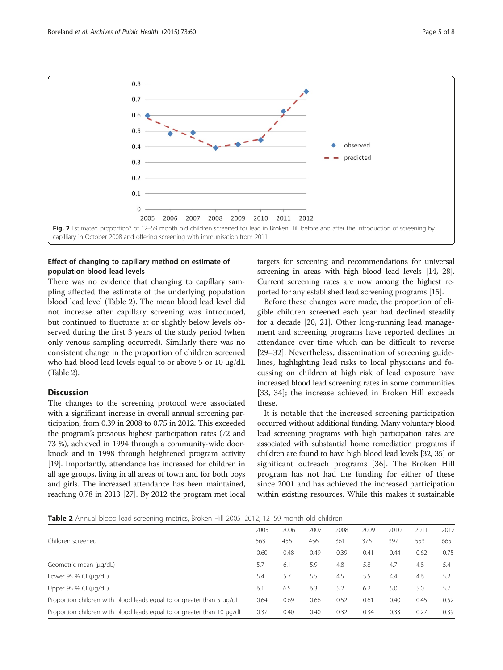<span id="page-4-0"></span>

# Effect of changing to capillary method on estimate of population blood lead levels

There was no evidence that changing to capillary sampling affected the estimate of the underlying population blood lead level (Table 2). The mean blood lead level did not increase after capillary screening was introduced, but continued to fluctuate at or slightly below levels observed during the first 3 years of the study period (when only venous sampling occurred). Similarly there was no consistent change in the proportion of children screened who had blood lead levels equal to or above 5 or 10 μg/dL (Table 2).

# **Discussion**

The changes to the screening protocol were associated with a significant increase in overall annual screening participation, from 0.39 in 2008 to 0.75 in 2012. This exceeded the program's previous highest participation rates (72 and 73 %), achieved in 1994 through a community-wide doorknock and in 1998 through heightened program activity [[19](#page-6-0)]. Importantly, attendance has increased for children in all age groups, living in all areas of town and for both boys and girls. The increased attendance has been maintained, reaching 0.78 in 2013 [[27](#page-6-0)]. By 2012 the program met local targets for screening and recommendations for universal screening in areas with high blood lead levels [\[14, 28](#page-6-0)]. Current screening rates are now among the highest reported for any established lead screening programs [\[15\]](#page-6-0).

Before these changes were made, the proportion of eligible children screened each year had declined steadily for a decade [\[20, 21\]](#page-6-0). Other long-running lead management and screening programs have reported declines in attendance over time which can be difficult to reverse [[29](#page-7-0)–[32](#page-7-0)]. Nevertheless, dissemination of screening guidelines, highlighting lead risks to local physicians and focussing on children at high risk of lead exposure have increased blood lead screening rates in some communities [[33, 34](#page-7-0)]; the increase achieved in Broken Hill exceeds these.

It is notable that the increased screening participation occurred without additional funding. Many voluntary blood lead screening programs with high participation rates are associated with substantial home remediation programs if children are found to have high blood lead levels [[32](#page-7-0), [35](#page-7-0)] or significant outreach programs [[36](#page-7-0)]. The Broken Hill program has not had the funding for either of these since 2001 and has achieved the increased participation within existing resources. While this makes it sustainable

Table 2 Annual blood lead screening metrics, Broken Hill 2005–2012; 12–59 month old children

|                                                                        | 2005 | 2006 | 2007 | 2008 | 2009 | 2010 | 201' | 2012 |
|------------------------------------------------------------------------|------|------|------|------|------|------|------|------|
| Children screened                                                      |      | 456  | 456  | 361  | 376  | 397  | 553  | 665  |
|                                                                        | 0.60 | 0.48 | 0.49 | 0.39 | 0.41 | 0.44 | 0.62 | 0.75 |
| Geometric mean (µg/dL)                                                 | 5.7  | 6.1  | 5.9  | 4.8  | 5.8  | 4.7  | 4.8  | 5.4  |
| Lower 95 % CI ( $\mu$ g/dL)                                            | 5.4  | 5.7  | 5.5  | 4.5  | 5.5  | 4.4  | 4.6  | 5.2  |
| Upper 95 % CI (µg/dL)                                                  | 6.1  | 6.5  | 6.3  | 5.2  | 6.2  | 5.0  | 5.0  | 5.7  |
| Proportion children with blood leads equal to or greater than 5 µg/dL  | 0.64 | 0.69 | 0.66 | 0.52 | 0.61 | 0.40 | 0.45 | 0.52 |
| Proportion children with blood leads equal to or greater than 10 µg/dL | 0.37 | 0.40 | 0.40 | 0.32 | 0.34 | 0.33 | 0.27 | 0.39 |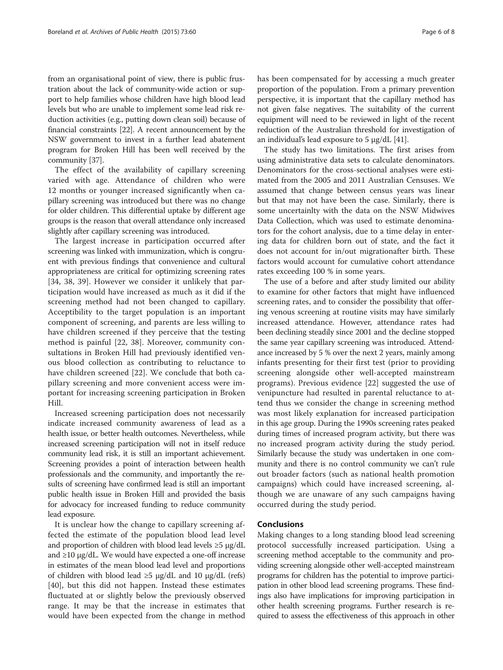from an organisational point of view, there is public frustration about the lack of community-wide action or support to help families whose children have high blood lead levels but who are unable to implement some lead risk reduction activities (e.g., putting down clean soil) because of financial constraints [[22](#page-6-0)]. A recent announcement by the NSW government to invest in a further lead abatement program for Broken Hill has been well received by the community [\[37\]](#page-7-0).

The effect of the availability of capillary screening varied with age. Attendance of children who were 12 months or younger increased significantly when capillary screening was introduced but there was no change for older children. This differential uptake by different age groups is the reason that overall attendance only increased slightly after capillary screening was introduced.

The largest increase in participation occurred after screening was linked with immunization, which is congruent with previous findings that convenience and cultural appropriateness are critical for optimizing screening rates [[34, 38, 39](#page-7-0)]. However we consider it unlikely that participation would have increased as much as it did if the screening method had not been changed to capillary. Acceptibility to the target population is an important component of screening, and parents are less willing to have children screened if they perceive that the testing method is painful [[22,](#page-6-0) [38\]](#page-7-0). Moreover, community consultations in Broken Hill had previously identified venous blood collection as contributing to reluctance to have children screened [[22](#page-6-0)]. We conclude that both capillary screening and more convenient access were important for increasing screening participation in Broken Hill.

Increased screening participation does not necessarily indicate increased community awareness of lead as a health issue, or better health outcomes. Nevertheless, while increased screening participation will not in itself reduce community lead risk, it is still an important achievement. Screening provides a point of interaction between health professionals and the community, and importantly the results of screening have confirmed lead is still an important public health issue in Broken Hill and provided the basis for advocacy for increased funding to reduce community lead exposure.

It is unclear how the change to capillary screening affected the estimate of the population blood lead level and proportion of children with blood lead levels ≥5 μg/dL and ≥10 μg/dL. We would have expected a one-off increase in estimates of the mean blood lead level and proportions of children with blood lead ≥5 μg/dL and 10 μg/dL (refs) [[40\]](#page-7-0), but this did not happen. Instead these estimates fluctuated at or slightly below the previously observed range. It may be that the increase in estimates that would have been expected from the change in method has been compensated for by accessing a much greater proportion of the population. From a primary prevention perspective, it is important that the capillary method has not given false negatives. The suitability of the current equipment will need to be reviewed in light of the recent reduction of the Australian threshold for investigation of an individual's lead exposure to 5 μg/dL [\[41\]](#page-7-0).

The study has two limitations. The first arises from using administrative data sets to calculate denominators. Denominators for the cross-sectional analyses were estimated from the 2005 and 2011 Australian Censuses. We assumed that change between census years was linear but that may not have been the case. Similarly, there is some uncertainlty with the data on the NSW Midwives Data Collection, which was used to estimate denominators for the cohort analysis, due to a time delay in entering data for children born out of state, and the fact it does not account for in/out migrationafter birth. These factors would account for cumulative cohort attendance rates exceeding 100 % in some years.

The use of a before and after study limited our ability to examine for other factors that might have influenced screening rates, and to consider the possibility that offering venous screening at routine visits may have similarly increased attendance. However, attendance rates had been declining steadily since 2001 and the decline stopped the same year capillary screening was introduced. Attendance increased by 5 % over the next 2 years, mainly among infants presenting for their first test (prior to providing screening alongside other well-accepted mainstream programs). Previous evidence [[22\]](#page-6-0) suggested the use of venipuncture had resulted in parental reluctance to attend thus we consider the change in screening method was most likely explanation for increased participation in this age group. During the 1990s screening rates peaked during times of increased program activity, but there was no increased program activity during the study period. Similarly because the study was undertaken in one community and there is no control community we can't rule out broader factors (such as national health promotion campaigns) which could have increased screening, although we are unaware of any such campaigns having occurred during the study period.

#### Conclusions

Making changes to a long standing blood lead screening protocol successfully increased participation. Using a screening method acceptable to the community and providing screening alongside other well-accepted mainstream programs for children has the potential to improve participation in other blood lead screening programs. These findings also have implications for improving participation in other health screening programs. Further research is required to assess the effectiveness of this approach in other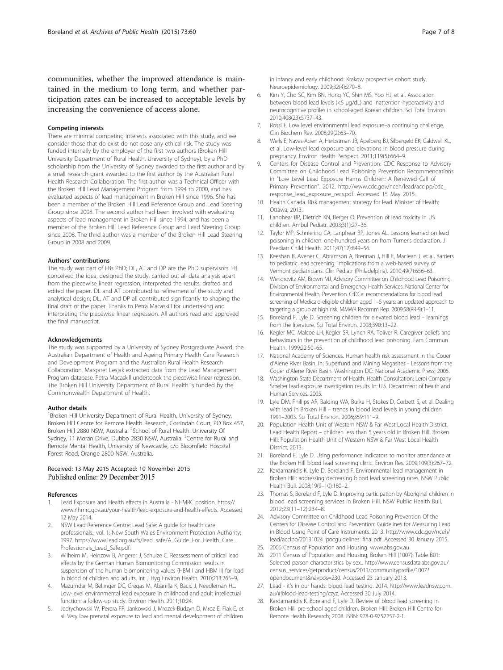<span id="page-6-0"></span>communities, whether the improved attendance is maintained in the medium to long term, and whether participation rates can be increased to acceptable levels by increasing the convenience of access alone.

#### Competing interests

There are minimal competing interests associated with this study, and we consider those that do exist do not pose any ethical risk. The study was funded internally by the employer of the first two authors (Broken Hill University Department of Rural Health, University of Sydney), by a PhD scholarship from the University of Sydney awarded to the first author and by a small research grant awarded to the first author by the Australian Rural Health Research Collaboration. The first author was a Technical Officer with the Broken Hill Lead Management Program from 1994 to 2000, and has evaluated aspects of lead management in Broken Hill since 1996. She has been a member of the Broken Hill Lead Reference Group and Lead Steering Group since 2008. The second author had been involved with evaluating aspects of lead management in Broken Hill since 1994, and has been a member of the Broken Hill Lead Reference Group and Lead Steering Group since 2008. The third author was a member of the Broken Hill Lead Steering Group in 2008 and 2009.

#### Authors' contributions

The study was part of FBs PhD; DL, AT and DP are the PhD supervisors. FB conceived the idea, designed the study, carried out all data analysis apart from the piecewise linear regression, interpreted the results, drafted and edited the paper. DL and AT contributed to refinement of the study and analytical design; DL, AT and DP all contributed significantly to shaping the final draft of the paper. Thanks to Petra Macaskill for undertaking and interpreting the piecewise linear regression. All authors read and approved the final manuscript.

#### Acknowledgements

The study was supported by a University of Sydney Postgraduate Award, the Australian Department of Health and Ageing Primary Health Care Research and Development Program and the Australian Rural Health Research Collaboration. Margaret Lesjak extracted data from the Lead Management Program database. Petra Macaskill undertoook the piecewise linear regression. The Broken Hill University Department of Rural Health is funded by the Commonwealth Department of Health.

#### Author details

<sup>1</sup> Broken Hill University Department of Rural Health, University of Sydney, Broken Hill Centre for Remote Health Research, Corrindah Court, PO Box 457, Broken Hill 2880 NSW, Australia. <sup>2</sup>School of Rural Health. University Of Sydney, 11 Moran Drive, Dubbo 2830 NSW, Australia. <sup>3</sup>Centre for Rural and Remote Mental Health, University of Newcastle, c/o Bloomfield Hospital Forest Road, Orange 2800 NSW, Australia.

#### Received: 13 May 2015 Accepted: 10 November 2015 Published online: 29 December 2015

#### References

- 1. Lead Exposure and Health effects in Australia NHMRC position. [https://](https://www.nhmrc.gov.au/your-health/lead-exposure-and-health-effects) [www.nhmrc.gov.au/your-health/lead-exposure-and-health-effects.](https://www.nhmrc.gov.au/your-health/lead-exposure-and-health-effects) Accessed 12 May 2014.
- NSW Lead Reference Centre: Lead Safe: A guide for health care professionals., vol. 1: New South Wales Environment Protection Authority; 1997. [https://www.lead.org.au/fs/lead\\_safe/A\\_Guide\\_For\\_Health\\_Care\\_](https://www.lead.org.au/fs/lead_safe/A_Guide_For_Health_Care_Professionals_Lead_Safe.pdf) [Professionals\\_Lead\\_Safe.pdf.](https://www.lead.org.au/fs/lead_safe/A_Guide_For_Health_Care_Professionals_Lead_Safe.pdf)
- 3. Wilhelm M, Heinzow B, Angerer J, Schulze C. Reassessment of critical lead effects by the German Human Biomonitoring Commission results in suspension of the human biomonitoring values (HBM I and HBM II) for lead in blood of children and adults. Int J Hyg Environ Health. 2010;213:265–9.
- 4. Mazumdar M, Bellinger DC, Gregas M, Abanilla K, Bacic J, Needleman HL. Low-level environmental lead exposure in childhood and adult intellectual function: a follow-up study. Environ Health. 2011;10:24.
- 5. Jedrychowski W, Perera FP, Jankowski J, Mrozek-Budzyn D, Mroz E, Flak E, et al. Very low prenatal exposure to lead and mental development of children

in infancy and early childhood: Krakow prospective cohort study. Neuroepidemiology. 2009;32(4):270–8.

- 6. Kim Y, Cho SC, Kim BN, Hong YC, Shin MS, Yoo HJ, et al. Association between blood lead levels (<5 μg/dL) and inattention-hyperactivity and neurocognitive profiles in school-aged Korean children. Sci Total Environ. 2010;408(23):5737–43.
- 7. Rossi E. Low level environmental lead exposure–a continuing challenge. Clin Biochem Rev. 2008;29(2):63–70.
- 8. Wells E, Navas-Acien A, Herbstman JB, Apelberg BJ, Silbergeld EK, Caldwell KL, et al. Low-level lead exposure and elevations in blood pressure during pregnancy. Environ Health Perspect. 2011;119(5):664–9.
- 9. Centers for Disease Control and Prevention: CDC Response to Advisory Committee on Childhood Lead Poisoning Prevention Recommendations in "Low Level Lead Exposure Harms Children: A Renewed Call of Primary Prevention". 2012. [http://www.cdc.gov/nceh/lead/acclpp/cdc\\_](http://www.cdc.gov/nceh/lead/acclpp/cdc_response_lead_exposure_recs.pdf) [response\\_lead\\_exposure\\_recs.pdf.](http://www.cdc.gov/nceh/lead/acclpp/cdc_response_lead_exposure_recs.pdf) Accessed 15 May 2015.
- 10. Health Canada. Risk management strategy for lead. Minister of Health: Ottawa; 2013.
- 11. Lanphear BP, Dietrich KN, Berger O. Prevention of lead toxicity in US children. Ambul Pediatr. 2003;3(1):27–36.
- 12. Taylor MP, Schniering CA, Lanphear BP, Jones AL. Lessons learned on lead poisoning in children: one-hundred years on from Turner's declaration. J Paediatr Child Health. 2011;47(12):849–56.
- 13. Keeshan B, Avener C, Abramson A, Brennan J, Hill E, Maclean J, et al. Barriers to pediatric lead screening: implications from a web-based survey of Vermont pediatricians. Clin Pediatr (Philadelphia). 2010;49(7):656–63.
- 14. Wengrovitz AM, Brown MJ, Advisory Committee on Childhood Lead Poisoning, Division of Environmental and Emergency Health Services, National Center for Environmental Health, Prevention. CfDCa: recommendations for blood lead screening of Medicaid-eligible children aged 1–5 years: an updated approach to targeting a group at high risk. MMWR Recomm Rep. 2009;58(RR-9):1–11.
- 15. Boreland F, Lyle D. Screening children for elevated blood lead learnings from the literature. Sci Total Environ. 2008;390:13–22.
- 16. Kegler MC, Malcoe LH, Kegler SR, Lynch RA, Toliver R. Caregiver beliefs and behaviours in the prevention of childhood lead poisoning. Fam Commun Health. 1999;22:50–65.
- 17. National Academy of Sciences. Human health risk assessment in the Couer d'Alene River Basin. In: Superfund and Mining Megasites - Lessons from the Couer d'Alene River Basin. Washington DC: National Academic Press; 2005.
- 18. Washington State Department of Health. Health Consultation: Leroi Company Smelter lead exposure investigation results. In: U.S. Department of health and Human Services. 2005.
- 19. Lyle DM, Phillips AR, Balding WA, Burke H, Stokes D, Corbett S, et al. Dealing with lead in Broken Hill – trends in blood lead levels in young children 1991–2003. Sci Total Environ. 2006;359:111–9.
- 20. Population Health Unit of Western NSW & Far West Local Health District. Lead Health Report – children less than 5 years old in Broken Hill. Broken Hill: Population Health Unit of Western NSW & Far West Local Health District; 2013.
- 21. Boreland F, Lyle D. Using performance indicators to monitor attendance at the Broken Hill blood lead screening clinic. Environ Res. 2009;109(3):267–72.
- 22. Kardamanidis K, Lyle D, Boreland F. Environmental lead management in Broken Hill: addressing decreasing blood lead screening rates. NSW Public Health Bull. 2008;19(9–10):180–2.
- 23. Thomas S, Boreland F, Lyle D. Improving participation by Aboriginal children in blood lead screening services in Broken Hill. NSW Public Health Bull. 2012;23(11–12):234–8.
- 24. Advisory Committee on Childhood Lead Poisoning Prevention Of the Centers for Disease Control and Prevention: Guidelines for Measuring Lead in Blood Using Point of Care Instruments. 2013. [http://www.cdc.gov/nceh/](http://www.cdc.gov/nceh/lead/acclpp/20131024_pocguidelines_final.pdf) [lead/acclpp/20131024\\_pocguidelines\\_final.pdf.](http://www.cdc.gov/nceh/lead/acclpp/20131024_pocguidelines_final.pdf) Accessed 30 January 2015.
- 25. 2006 Census of Population and Housing. [www.abs.gov.au](http://www.abs.gov.au)
- 26. 2011 Census of Population and Housing, Broken Hill (1007). Table B01: Selected person characteristics by sex.. [http://www.censusdata.abs.gov.au/](http://www.censusdata.abs.gov.au/census_services/getproduct/census/2011/communityprofile/1007?opendocument&navpos=230) [census\\_services/getproduct/census/2011/communityprofile/1007?](http://www.censusdata.abs.gov.au/census_services/getproduct/census/2011/communityprofile/1007?opendocument&navpos=230) [opendocument&navpos=230.](http://www.censusdata.abs.gov.au/census_services/getproduct/census/2011/communityprofile/1007?opendocument&navpos=230) Accessed 23 January 2013.
- 27. Lead it's in our hands: blood lead testing. 2014. [http://www.leadnsw.com.](http://www.leadnsw.com.au/#!blood-lead-testing/czyz) [au/#!blood-lead-testing/czyz](http://www.leadnsw.com.au/#!blood-lead-testing/czyz). Accessed 30 July 2014.
- 28. Kardamanidis K, Boreland F, Lyle D. Review of blood lead screening in Broken Hill pre-school aged children. Broken HIll: Broken Hill Centre for Remote Health Research; 2008. ISBN: 978-0-9752257-2-1.